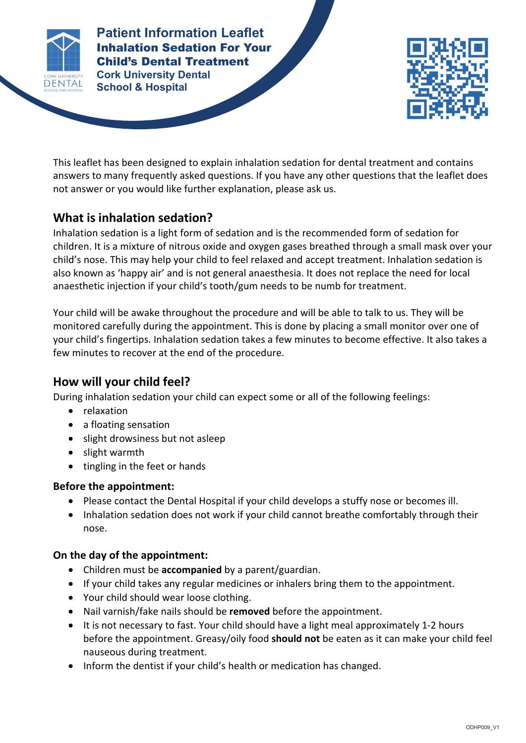

**Patient Information Leaflet Cork University Dental School & Hospital Patient Information Leaflet** Inhalation Sedation For Your Child's Dental Treatment



This leaflet has been designed to explain inhalation sedation for dental treatment and contains answers to many frequently asked questions. If you have any other questions that the leaflet does not answer or you would like further explanation, please ask us.

**INHALATION SEDATION FOR YOUR CHILD'S DENTAL TREATMENT**

# **What is inhalation sedation?**

Inhalation sedation is a light form of sedation and is the recommended form of sedation for children. It is a mixture of nitrous oxide and oxygen gases breathed through a small mask over your child's nose. This may help your child to feel relaxed and accept treatment. Inhalation sedation is also known as 'happy air' and is not general anaesthesia. It does not replace the need for local anaesthetic injection if your child's tooth/gum needs to be numb for treatment.

Your child will be awake throughout the procedure and will be able to talk to us. They will be monitored carefully during the appointment. This is done by placing a small monitor over one of your child's fingertips. Inhalation sedation takes a few minutes to become effective. It also takes a few minutes to recover at the end of the procedure.

## **How will your child feel?**

During inhalation sedation your child can expect some or all of the following feelings:

- relaxation
- a floating sensation
- slight drowsiness but not asleep
- slight warmth
- tingling in the feet or hands

## **Before the appointment:**

- Please contact the Dental Hospital if your child develops a stuffy nose or becomes ill.
- Inhalation sedation does not work if your child cannot breathe comfortably through their nose.

## **On the day of the appointment:**

- Children must be **accompanied** by a parent/guardian.
- If your child takes any regular medicines or inhalers bring them to the appointment.
- Your child should wear loose clothing.
- Nail varnish/fake nails should be **removed** before the appointment.
- It is not necessary to fast. Your child should have a light meal approximately 1-2 hours before the appointment. Greasy/oily food **should not** be eaten as it can make your child feel nauseous during treatment.
- Inform the dentist if your child's health or medication has changed.